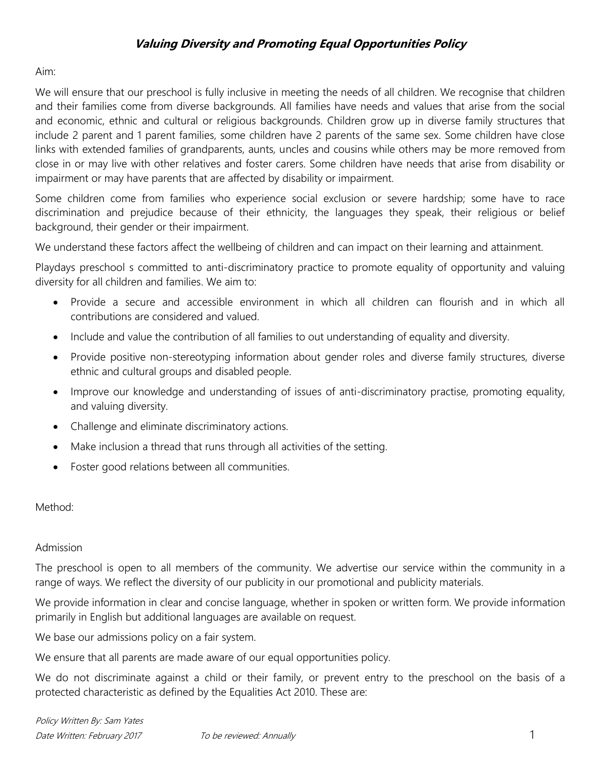## **Valuing Diversity and Promoting Equal Opportunities Policy**

Aim:

We will ensure that our preschool is fully inclusive in meeting the needs of all children. We recognise that children and their families come from diverse backgrounds. All families have needs and values that arise from the social and economic, ethnic and cultural or religious backgrounds. Children grow up in diverse family structures that include 2 parent and 1 parent families, some children have 2 parents of the same sex. Some children have close links with extended families of grandparents, aunts, uncles and cousins while others may be more removed from close in or may live with other relatives and foster carers. Some children have needs that arise from disability or impairment or may have parents that are affected by disability or impairment.

Some children come from families who experience social exclusion or severe hardship; some have to race discrimination and prejudice because of their ethnicity, the languages they speak, their religious or belief background, their gender or their impairment.

We understand these factors affect the wellbeing of children and can impact on their learning and attainment.

Playdays preschool s committed to anti-discriminatory practice to promote equality of opportunity and valuing diversity for all children and families. We aim to:

- Provide a secure and accessible environment in which all children can flourish and in which all contributions are considered and valued.
- Include and value the contribution of all families to out understanding of equality and diversity.
- Provide positive non-stereotyping information about gender roles and diverse family structures, diverse ethnic and cultural groups and disabled people.
- Improve our knowledge and understanding of issues of anti-discriminatory practise, promoting equality, and valuing diversity.
- Challenge and eliminate discriminatory actions.
- Make inclusion a thread that runs through all activities of the setting.
- Foster good relations between all communities.

## Method:

### Admission

The preschool is open to all members of the community. We advertise our service within the community in a range of ways. We reflect the diversity of our publicity in our promotional and publicity materials.

We provide information in clear and concise language, whether in spoken or written form. We provide information primarily in English but additional languages are available on request.

We base our admissions policy on a fair system.

We ensure that all parents are made aware of our equal opportunities policy.

We do not discriminate against a child or their family, or prevent entry to the preschool on the basis of a protected characteristic as defined by the Equalities Act 2010. These are: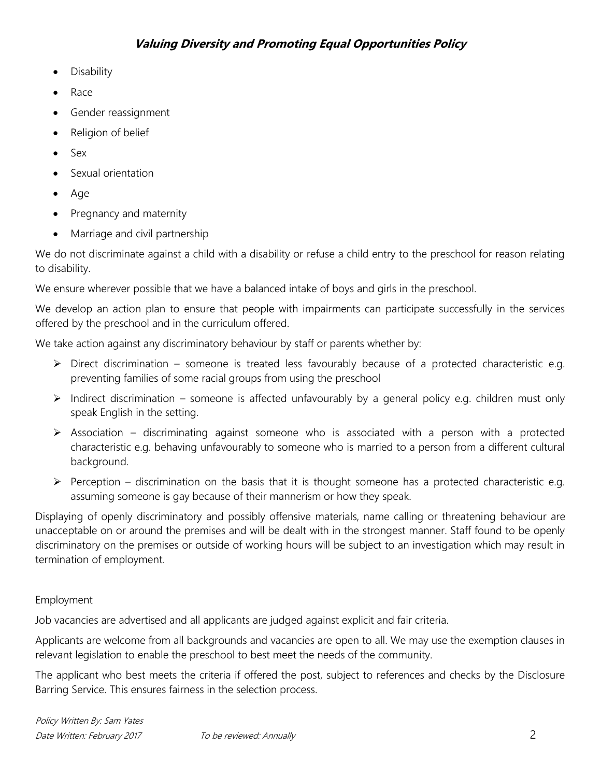- **Disability**
- Race
- Gender reassignment
- Religion of belief
- Sex
- Sexual orientation
- Age
- Pregnancy and maternity
- Marriage and civil partnership

We do not discriminate against a child with a disability or refuse a child entry to the preschool for reason relating to disability.

We ensure wherever possible that we have a balanced intake of boys and girls in the preschool.

We develop an action plan to ensure that people with impairments can participate successfully in the services offered by the preschool and in the curriculum offered.

We take action against any discriminatory behaviour by staff or parents whether by:

- $\triangleright$  Direct discrimination someone is treated less favourably because of a protected characteristic e.g. preventing families of some racial groups from using the preschool
- $\triangleright$  Indirect discrimination someone is affected unfavourably by a general policy e.g. children must only speak English in the setting.
- $\triangleright$  Association discriminating against someone who is associated with a person with a protected characteristic e.g. behaving unfavourably to someone who is married to a person from a different cultural background.
- $\triangleright$  Perception discrimination on the basis that it is thought someone has a protected characteristic e.g. assuming someone is gay because of their mannerism or how they speak.

Displaying of openly discriminatory and possibly offensive materials, name calling or threatening behaviour are unacceptable on or around the premises and will be dealt with in the strongest manner. Staff found to be openly discriminatory on the premises or outside of working hours will be subject to an investigation which may result in termination of employment.

## Employment

Job vacancies are advertised and all applicants are judged against explicit and fair criteria.

Applicants are welcome from all backgrounds and vacancies are open to all. We may use the exemption clauses in relevant legislation to enable the preschool to best meet the needs of the community.

The applicant who best meets the criteria if offered the post, subject to references and checks by the Disclosure Barring Service. This ensures fairness in the selection process.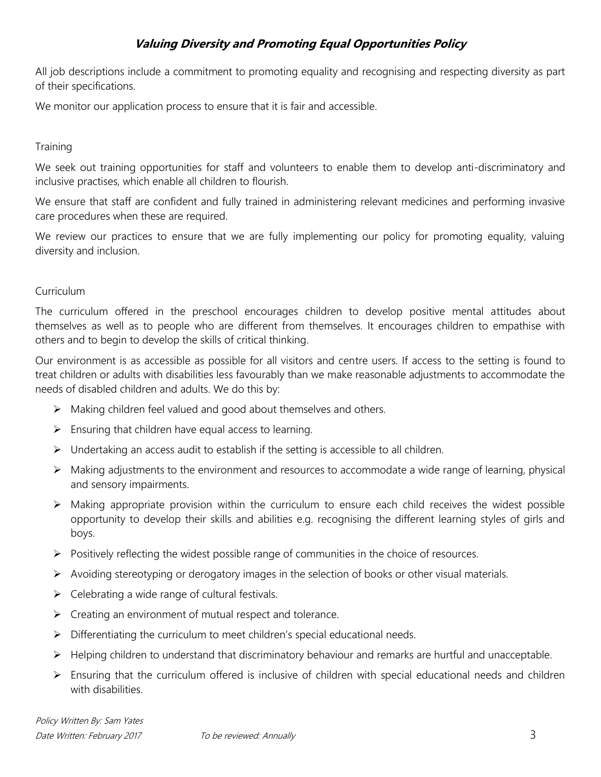# **Valuing Diversity and Promoting Equal Opportunities Policy**

All job descriptions include a commitment to promoting equality and recognising and respecting diversity as part of their specifications.

We monitor our application process to ensure that it is fair and accessible.

### **Training**

We seek out training opportunities for staff and volunteers to enable them to develop anti-discriminatory and inclusive practises, which enable all children to flourish.

We ensure that staff are confident and fully trained in administering relevant medicines and performing invasive care procedures when these are required.

We review our practices to ensure that we are fully implementing our policy for promoting equality, valuing diversity and inclusion.

### Curriculum

The curriculum offered in the preschool encourages children to develop positive mental attitudes about themselves as well as to people who are different from themselves. It encourages children to empathise with others and to begin to develop the skills of critical thinking.

Our environment is as accessible as possible for all visitors and centre users. If access to the setting is found to treat children or adults with disabilities less favourably than we make reasonable adjustments to accommodate the needs of disabled children and adults. We do this by:

- $\triangleright$  Making children feel valued and good about themselves and others.
- $\triangleright$  Ensuring that children have equal access to learning.
- $\triangleright$  Undertaking an access audit to establish if the setting is accessible to all children.
- $\triangleright$  Making adjustments to the environment and resources to accommodate a wide range of learning, physical and sensory impairments.
- $\triangleright$  Making appropriate provision within the curriculum to ensure each child receives the widest possible opportunity to develop their skills and abilities e.g. recognising the different learning styles of girls and boys.
- $\triangleright$  Positively reflecting the widest possible range of communities in the choice of resources.
- $\triangleright$  Avoiding stereotyping or derogatory images in the selection of books or other visual materials.
- $\triangleright$  Celebrating a wide range of cultural festivals.
- $\triangleright$  Creating an environment of mutual respect and tolerance.
- $\triangleright$  Differentiating the curriculum to meet children's special educational needs.
- $\triangleright$  Helping children to understand that discriminatory behaviour and remarks are hurtful and unacceptable.
- $\triangleright$  Ensuring that the curriculum offered is inclusive of children with special educational needs and children with disabilities.